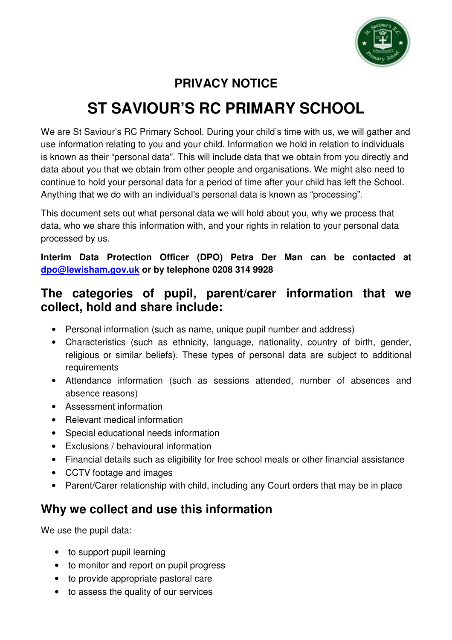

#### **PRIVACY NOTICE**

# **ST SAVIOUR'S RC PRIMARY SCHOOL**

We are St Saviour's RC Primary School. During your child's time with us, we will gather and use information relating to you and your child. Information we hold in relation to individuals is known as their "personal data". This will include data that we obtain from you directly and data about you that we obtain from other people and organisations. We might also need to continue to hold your personal data for a period of time after your child has left the School. Anything that we do with an individual's personal data is known as "processing".

This document sets out what personal data we will hold about you, why we process that data, who we share this information with, and your rights in relation to your personal data processed by us.

**Interim Data Protection Officer (DPO) Petra Der Man can be contacted at dpo@lewisham.gov.uk or by telephone 0208 314 9928** 

#### **The categories of pupil, parent/carer information that we collect, hold and share include:**

- Personal information (such as name, unique pupil number and address)
- Characteristics (such as ethnicity, language, nationality, country of birth, gender, religious or similar beliefs). These types of personal data are subject to additional requirements
- Attendance information (such as sessions attended, number of absences and absence reasons)
- Assessment information
- Relevant medical information
- Special educational needs information
- Exclusions / behavioural information
- Financial details such as eligibility for free school meals or other financial assistance
- CCTV footage and images
- Parent/Carer relationship with child, including any Court orders that may be in place

#### **Why we collect and use this information**

We use the pupil data:

- to support pupil learning
- to monitor and report on pupil progress
- to provide appropriate pastoral care
- to assess the quality of our services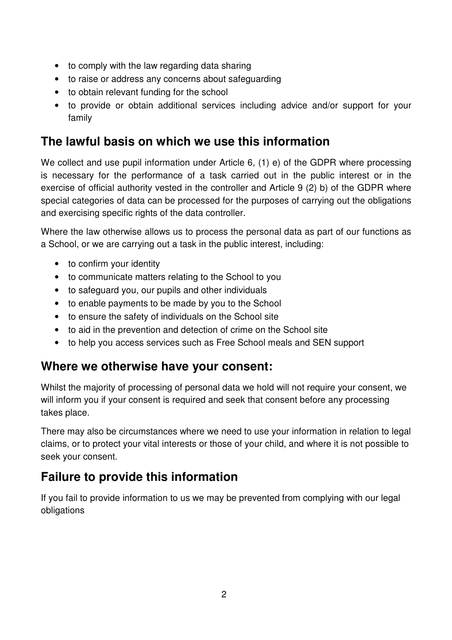- to comply with the law regarding data sharing
- to raise or address any concerns about safeguarding
- to obtain relevant funding for the school
- to provide or obtain additional services including advice and/or support for your family

#### **The lawful basis on which we use this information**

We collect and use pupil information under Article 6, (1) e) of the GDPR where processing is necessary for the performance of a task carried out in the public interest or in the exercise of official authority vested in the controller and Article 9 (2) b) of the GDPR where special categories of data can be processed for the purposes of carrying out the obligations and exercising specific rights of the data controller.

Where the law otherwise allows us to process the personal data as part of our functions as a School, or we are carrying out a task in the public interest, including:

- to confirm your identity
- to communicate matters relating to the School to you
- to safeguard you, our pupils and other individuals
- to enable payments to be made by you to the School
- to ensure the safety of individuals on the School site
- to aid in the prevention and detection of crime on the School site
- to help you access services such as Free School meals and SEN support

#### **Where we otherwise have your consent:**

Whilst the majority of processing of personal data we hold will not require your consent, we will inform you if your consent is required and seek that consent before any processing takes place.

There may also be circumstances where we need to use your information in relation to legal claims, or to protect your vital interests or those of your child, and where it is not possible to seek your consent.

#### **Failure to provide this information**

If you fail to provide information to us we may be prevented from complying with our legal obligations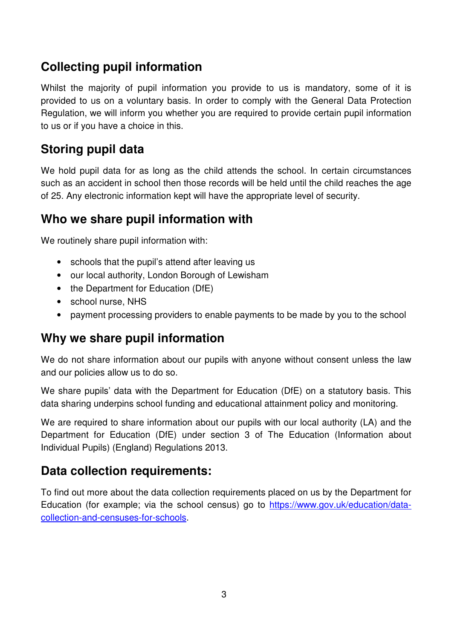### **Collecting pupil information**

Whilst the majority of pupil information you provide to us is mandatory, some of it is provided to us on a voluntary basis. In order to comply with the General Data Protection Regulation, we will inform you whether you are required to provide certain pupil information to us or if you have a choice in this.

#### **Storing pupil data**

We hold pupil data for as long as the child attends the school. In certain circumstances such as an accident in school then those records will be held until the child reaches the age of 25. Any electronic information kept will have the appropriate level of security.

#### **Who we share pupil information with**

We routinely share pupil information with:

- schools that the pupil's attend after leaving us
- our local authority, London Borough of Lewisham
- the Department for Education (DfE)
- school nurse, NHS
- payment processing providers to enable payments to be made by you to the school

#### **Why we share pupil information**

We do not share information about our pupils with anyone without consent unless the law and our policies allow us to do so.

We share pupils' data with the Department for Education (DfE) on a statutory basis. This data sharing underpins school funding and educational attainment policy and monitoring.

We are required to share information about our pupils with our local authority (LA) and the Department for Education (DfE) under section 3 of The Education (Information about Individual Pupils) (England) Regulations 2013.

#### **Data collection requirements:**

To find out more about the data collection requirements placed on us by the Department for Education (for example; via the school census) go to https://www.gov.uk/education/datacollection-and-censuses-for-schools.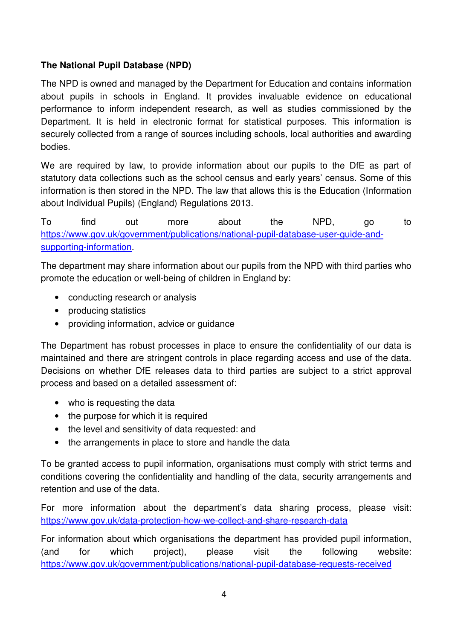#### **The National Pupil Database (NPD)**

The NPD is owned and managed by the Department for Education and contains information about pupils in schools in England. It provides invaluable evidence on educational performance to inform independent research, as well as studies commissioned by the Department. It is held in electronic format for statistical purposes. This information is securely collected from a range of sources including schools, local authorities and awarding bodies.

We are required by law, to provide information about our pupils to the DfE as part of statutory data collections such as the school census and early years' census. Some of this information is then stored in the NPD. The law that allows this is the Education (Information about Individual Pupils) (England) Regulations 2013.

To find out more about the NPD, go to https://www.gov.uk/government/publications/national-pupil-database-user-guide-andsupporting-information.

The department may share information about our pupils from the NPD with third parties who promote the education or well-being of children in England by:

- conducting research or analysis
- producing statistics
- providing information, advice or quidance

The Department has robust processes in place to ensure the confidentiality of our data is maintained and there are stringent controls in place regarding access and use of the data. Decisions on whether DfE releases data to third parties are subject to a strict approval process and based on a detailed assessment of:

- who is requesting the data
- the purpose for which it is required
- the level and sensitivity of data requested: and
- the arrangements in place to store and handle the data

To be granted access to pupil information, organisations must comply with strict terms and conditions covering the confidentiality and handling of the data, security arrangements and retention and use of the data.

For more information about the department's data sharing process, please visit: https://www.gov.uk/data-protection-how-we-collect-and-share-research-data

For information about which organisations the department has provided pupil information, (and for which project), please visit the following website: https://www.gov.uk/government/publications/national-pupil-database-requests-received